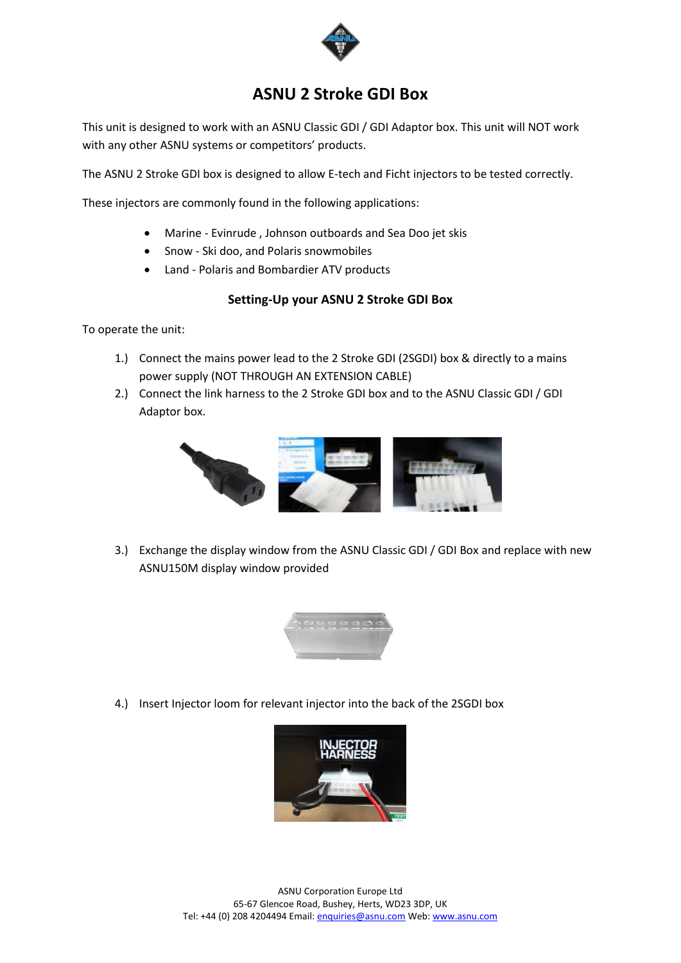

# **ASNU 2 Stroke GDI Box**

This unit is designed to work with an ASNU Classic GDI / GDI Adaptor box. This unit will NOT work with any other ASNU systems or competitors' products.

The ASNU 2 Stroke GDI box is designed to allow E-tech and Ficht injectors to be tested correctly.

These injectors are commonly found in the following applications:

- Marine Evinrude , Johnson outboards and Sea Doo jet skis
- Snow Ski doo, and Polaris snowmobiles
- Land Polaris and Bombardier ATV products

### **Setting-Up your ASNU 2 Stroke GDI Box**

To operate the unit:

- 1.) Connect the mains power lead to the 2 Stroke GDI (2SGDI) box & directly to a mains power supply (NOT THROUGH AN EXTENSION CABLE)
- 2.) Connect the link harness to the 2 Stroke GDI box and to the ASNU Classic GDI / GDI Adaptor box.



3.) Exchange the display window from the ASNU Classic GDI / GDI Box and replace with new ASNU150M display window provided



4.) Insert Injector loom for relevant injector into the back of the 2SGDI box

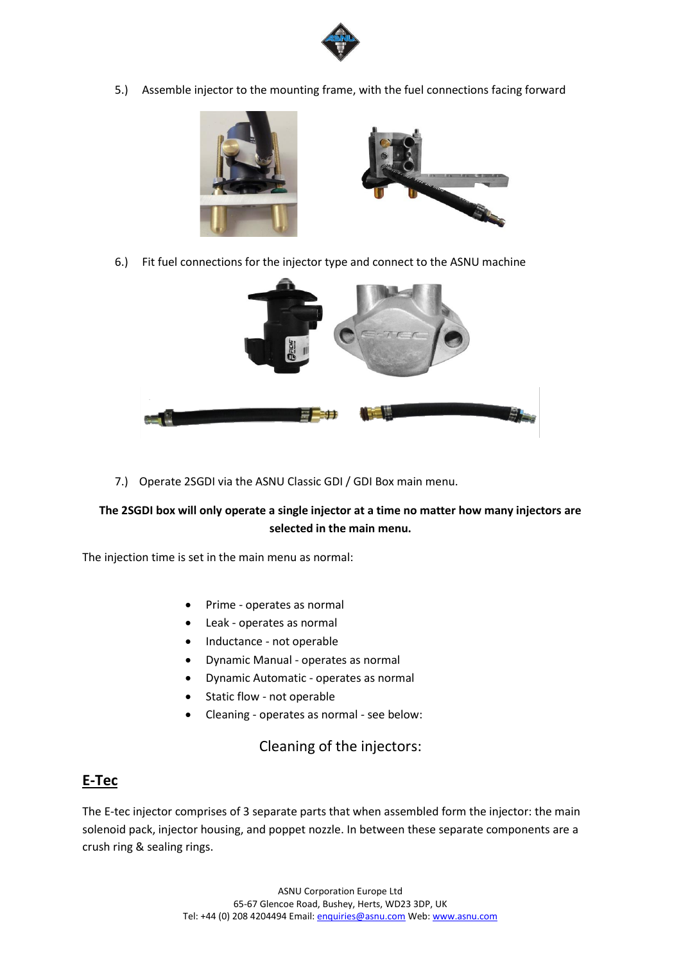

5.) Assemble injector to the mounting frame, with the fuel connections facing forward



6.) Fit fuel connections for the injector type and connect to the ASNU machine



7.) Operate 2SGDI via the ASNU Classic GDI / GDI Box main menu.

### **The 2SGDI box will only operate a single injector at a time no matter how many injectors are selected in the main menu.**

The injection time is set in the main menu as normal:

- Prime operates as normal
- Leak operates as normal
- Inductance not operable
- Dynamic Manual operates as normal
- Dynamic Automatic operates as normal
- Static flow not operable
- Cleaning operates as normal see below:

Cleaning of the injectors:

## **E-Tec**

The E-tec injector comprises of 3 separate parts that when assembled form the injector: the main solenoid pack, injector housing, and poppet nozzle. In between these separate components are a crush ring & sealing rings.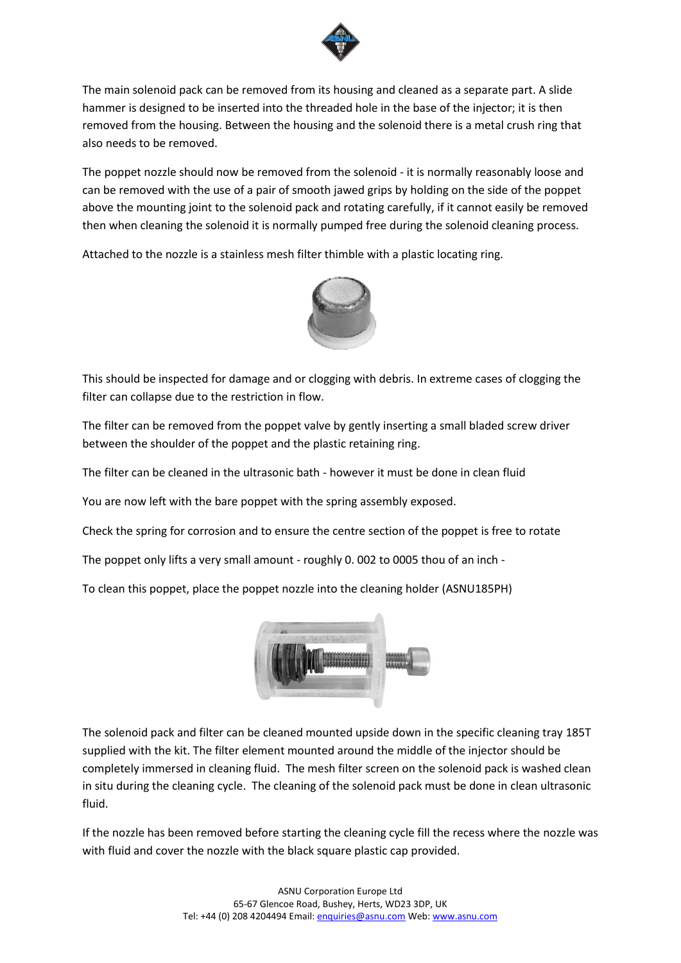

The main solenoid pack can be removed from its housing and cleaned as a separate part. A slide hammer is designed to be inserted into the threaded hole in the base of the injector; it is then removed from the housing. Between the housing and the solenoid there is a metal crush ring that also needs to be removed.

The poppet nozzle should now be removed from the solenoid - it is normally reasonably loose and can be removed with the use of a pair of smooth jawed grips by holding on the side of the poppet above the mounting joint to the solenoid pack and rotating carefully, if it cannot easily be removed then when cleaning the solenoid it is normally pumped free during the solenoid cleaning process.

Attached to the nozzle is a stainless mesh filter thimble with a plastic locating ring.



This should be inspected for damage and or clogging with debris. In extreme cases of clogging the filter can collapse due to the restriction in flow.

The filter can be removed from the poppet valve by gently inserting a small bladed screw driver between the shoulder of the poppet and the plastic retaining ring.

The filter can be cleaned in the ultrasonic bath - however it must be done in clean fluid

You are now left with the bare poppet with the spring assembly exposed.

Check the spring for corrosion and to ensure the centre section of the poppet is free to rotate

The poppet only lifts a very small amount - roughly 0. 002 to 0005 thou of an inch -

To clean this poppet, place the poppet nozzle into the cleaning holder (ASNU185PH)



The solenoid pack and filter can be cleaned mounted upside down in the specific cleaning tray 185T supplied with the kit. The filter element mounted around the middle of the injector should be completely immersed in cleaning fluid. The mesh filter screen on the solenoid pack is washed clean in situ during the cleaning cycle. The cleaning of the solenoid pack must be done in clean ultrasonic fluid.

If the nozzle has been removed before starting the cleaning cycle fill the recess where the nozzle was with fluid and cover the nozzle with the black square plastic cap provided.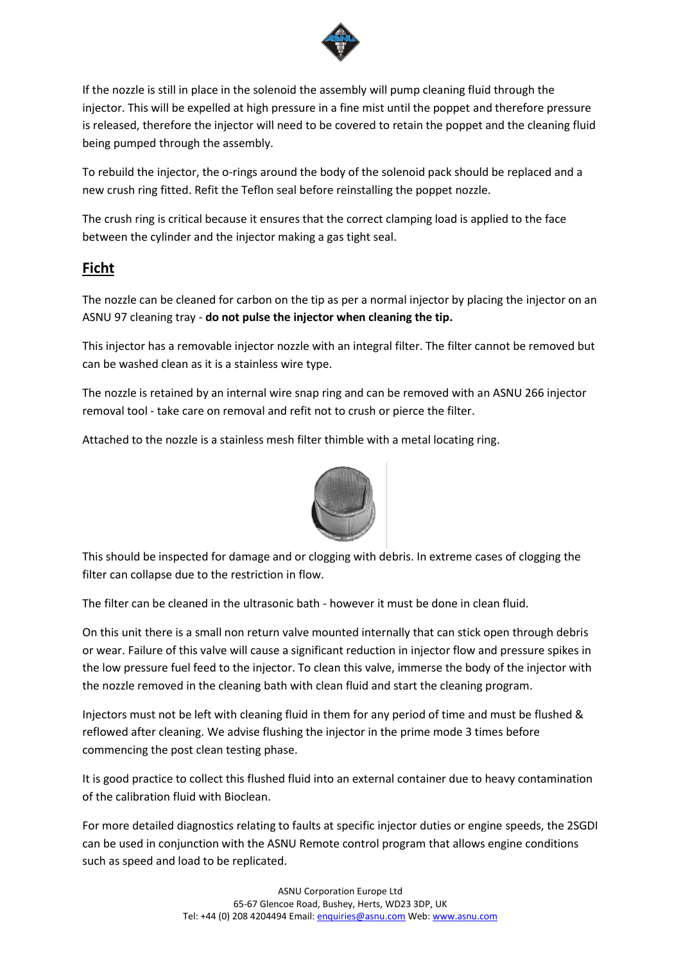

If the nozzle is still in place in the solenoid the assembly will pump cleaning fluid through the injector. This will be expelled at high pressure in a fine mist until the poppet and therefore pressure is released, therefore the injector will need to be covered to retain the poppet and the cleaning fluid being pumped through the assembly.

To rebuild the injector, the o-rings around the body of the solenoid pack should be replaced and a new crush ring fitted. Refit the Teflon seal before reinstalling the poppet nozzle.

The crush ring is critical because it ensures that the correct clamping load is applied to the face between the cylinder and the injector making a gas tight seal.

## **Ficht**

The nozzle can be cleaned for carbon on the tip as per a normal injector by placing the injector on an ASNU 97 cleaning tray - **do not pulse the injector when cleaning the tip.**

This injector has a removable injector nozzle with an integral filter. The filter cannot be removed but can be washed clean as it is a stainless wire type.

The nozzle is retained by an internal wire snap ring and can be removed with an ASNU 266 injector removal tool - take care on removal and refit not to crush or pierce the filter.

Attached to the nozzle is a stainless mesh filter thimble with a metal locating ring.



This should be inspected for damage and or clogging with debris. In extreme cases of clogging the filter can collapse due to the restriction in flow.

The filter can be cleaned in the ultrasonic bath - however it must be done in clean fluid.

On this unit there is a small non return valve mounted internally that can stick open through debris or wear. Failure of this valve will cause a significant reduction in injector flow and pressure spikes in the low pressure fuel feed to the injector. To clean this valve, immerse the body of the injector with the nozzle removed in the cleaning bath with clean fluid and start the cleaning program.

Injectors must not be left with cleaning fluid in them for any period of time and must be flushed & reflowed after cleaning. We advise flushing the injector in the prime mode 3 times before commencing the post clean testing phase.

It is good practice to collect this flushed fluid into an external container due to heavy contamination of the calibration fluid with Bioclean.

For more detailed diagnostics relating to faults at specific injector duties or engine speeds, the 2SGDI can be used in conjunction with the ASNU Remote control program that allows engine conditions such as speed and load to be replicated.